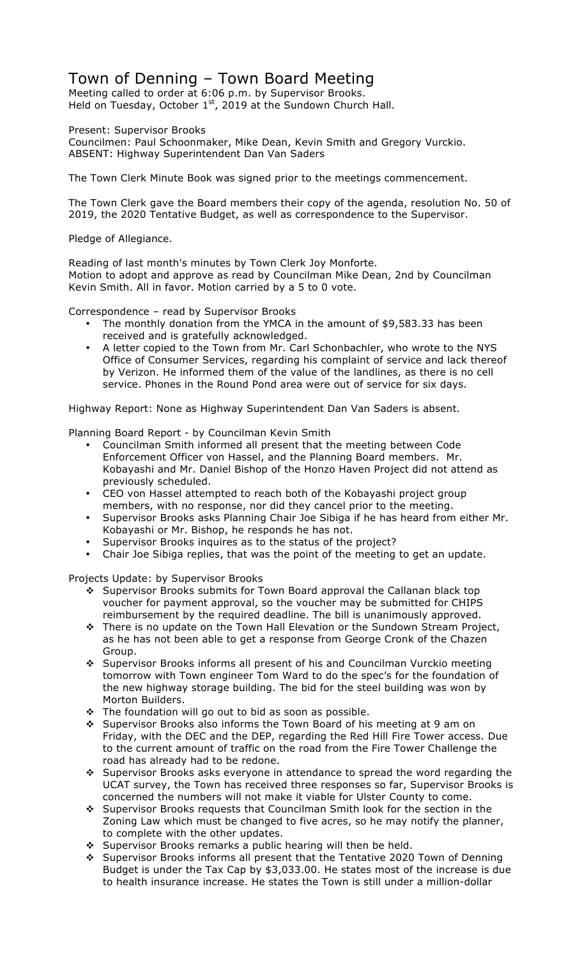## Town of Denning – Town Board Meeting

Meeting called to order at 6:06 p.m. by Supervisor Brooks. Held on Tuesday, October  $1<sup>st</sup>$ , 2019 at the Sundown Church Hall.

Present: Supervisor Brooks

Councilmen: Paul Schoonmaker, Mike Dean, Kevin Smith and Gregory Vurckio. ABSENT: Highway Superintendent Dan Van Saders

The Town Clerk Minute Book was signed prior to the meetings commencement.

The Town Clerk gave the Board members their copy of the agenda, resolution No. 50 of 2019, the 2020 Tentative Budget, as well as correspondence to the Supervisor.

Pledge of Allegiance.

Reading of last month's minutes by Town Clerk Joy Monforte. Motion to adopt and approve as read by Councilman Mike Dean, 2nd by Councilman Kevin Smith. All in favor. Motion carried by a 5 to 0 vote.

Correspondence – read by Supervisor Brooks

- The monthly donation from the YMCA in the amount of \$9,583.33 has been received and is gratefully acknowledged.
- A letter copied to the Town from Mr. Carl Schonbachler, who wrote to the NYS Office of Consumer Services, regarding his complaint of service and lack thereof by Verizon. He informed them of the value of the landlines, as there is no cell service. Phones in the Round Pond area were out of service for six days.

Highway Report: None as Highway Superintendent Dan Van Saders is absent.

Planning Board Report - by Councilman Kevin Smith

- Councilman Smith informed all present that the meeting between Code Enforcement Officer von Hassel, and the Planning Board members. Mr. Kobayashi and Mr. Daniel Bishop of the Honzo Haven Project did not attend as previously scheduled.
- CEO von Hassel attempted to reach both of the Kobayashi project group members, with no response, nor did they cancel prior to the meeting.
- Supervisor Brooks asks Planning Chair Joe Sibiga if he has heard from either Mr. Kobayashi or Mr. Bishop, he responds he has not.
- Supervisor Brooks inquires as to the status of the project?
- Chair Joe Sibiga replies, that was the point of the meeting to get an update.

Projects Update: by Supervisor Brooks

- ❖ Supervisor Brooks submits for Town Board approval the Callanan black top voucher for payment approval, so the voucher may be submitted for CHIPS reimbursement by the required deadline. The bill is unanimously approved.
- \* There is no update on the Town Hall Elevation or the Sundown Stream Project, as he has not been able to get a response from George Cronk of the Chazen Group.
- \* Supervisor Brooks informs all present of his and Councilman Vurckio meeting tomorrow with Town engineer Tom Ward to do the spec's for the foundation of the new highway storage building. The bid for the steel building was won by Morton Builders.
- $\div$  The foundation will go out to bid as soon as possible.
- ❖ Supervisor Brooks also informs the Town Board of his meeting at 9 am on Friday, with the DEC and the DEP, regarding the Red Hill Fire Tower access. Due to the current amount of traffic on the road from the Fire Tower Challenge the road has already had to be redone.
- \* Supervisor Brooks asks everyone in attendance to spread the word regarding the UCAT survey, the Town has received three responses so far, Supervisor Brooks is concerned the numbers will not make it viable for Ulster County to come.
- \* Supervisor Brooks requests that Councilman Smith look for the section in the Zoning Law which must be changed to five acres, so he may notify the planner, to complete with the other updates.
- \* Supervisor Brooks remarks a public hearing will then be held.
- \* Supervisor Brooks informs all present that the Tentative 2020 Town of Denning Budget is under the Tax Cap by \$3,033.00. He states most of the increase is due to health insurance increase. He states the Town is still under a million-dollar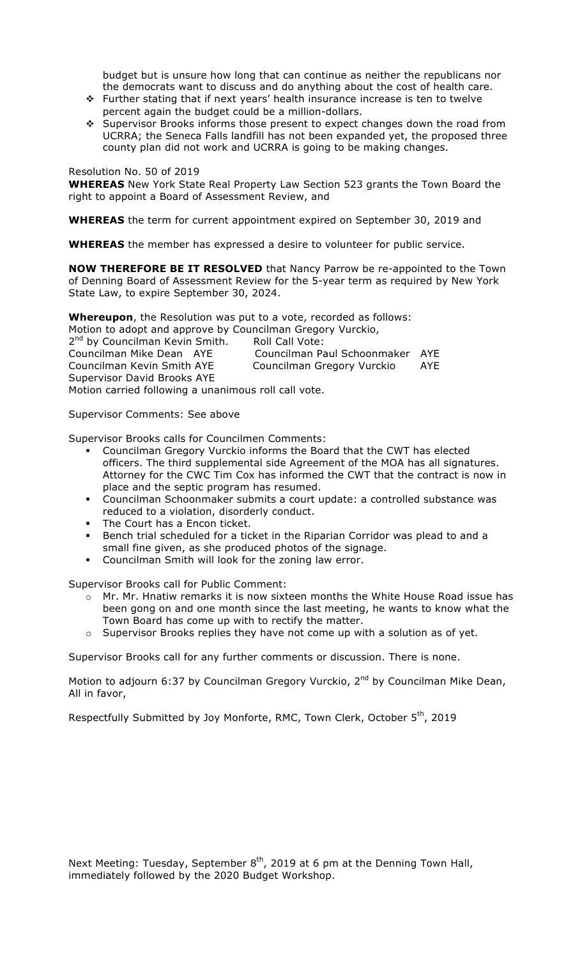budget but is unsure how long that can continue as neither the republicans nor the democrats want to discuss and do anything about the cost of health care.

- $\cdot \cdot$  Further stating that if next years' health insurance increase is ten to twelve percent again the budget could be a million-dollars.
- \* Supervisor Brooks informs those present to expect changes down the road from UCRRA; the Seneca Falls landfill has not been expanded yet, the proposed three county plan did not work and UCRRA is going to be making changes.

## Resolution No. 50 of 2019

**WHEREAS** New York State Real Property Law Section 523 grants the Town Board the right to appoint a Board of Assessment Review, and

**WHEREAS** the term for current appointment expired on September 30, 2019 and

**WHEREAS** the member has expressed a desire to volunteer for public service.

**NOW THEREFORE BE IT RESOLVED** that Nancy Parrow be re-appointed to the Town of Denning Board of Assessment Review for the 5-year term as required by New York State Law, to expire September 30, 2024.

**Whereupon**, the Resolution was put to a vote, recorded as follows:

Motion to adopt and approve by Councilman Gregory Vurckio, 2<sup>nd</sup> by Councilman Kevin Smith. Roll Call Vote: Councilman Mike Dean AYE Councilman Paul Schoonmaker AYE Councilman Kevin Smith AYE Councilman Gregory Vurckio AYE Supervisor David Brooks AYE Motion carried following a unanimous roll call vote.

Supervisor Comments: See above

Supervisor Brooks calls for Councilmen Comments:

- " Councilman Gregory Vurckio informs the Board that the CWT has elected officers. The third supplemental side Agreement of the MOA has all signatures. Attorney for the CWC Tim Cox has informed the CWT that the contract is now in place and the septic program has resumed.
- " Councilman Schoonmaker submits a court update: a controlled substance was reduced to a violation, disorderly conduct.
- The Court has a Encon ticket.
- " Bench trial scheduled for a ticket in the Riparian Corridor was plead to and a small fine given, as she produced photos of the signage.
- " Councilman Smith will look for the zoning law error.

Supervisor Brooks call for Public Comment:

- $\circ$  Mr. Mr. Hnatiw remarks it is now sixteen months the White House Road issue has been gong on and one month since the last meeting, he wants to know what the Town Board has come up with to rectify the matter.
- $\circ$  Supervisor Brooks replies they have not come up with a solution as of yet.

Supervisor Brooks call for any further comments or discussion. There is none.

Motion to adjourn 6:37 by Councilman Gregory Vurckio, 2<sup>nd</sup> by Councilman Mike Dean, All in favor,

Respectfully Submitted by Joy Monforte, RMC, Town Clerk, October 5<sup>th</sup>, 2019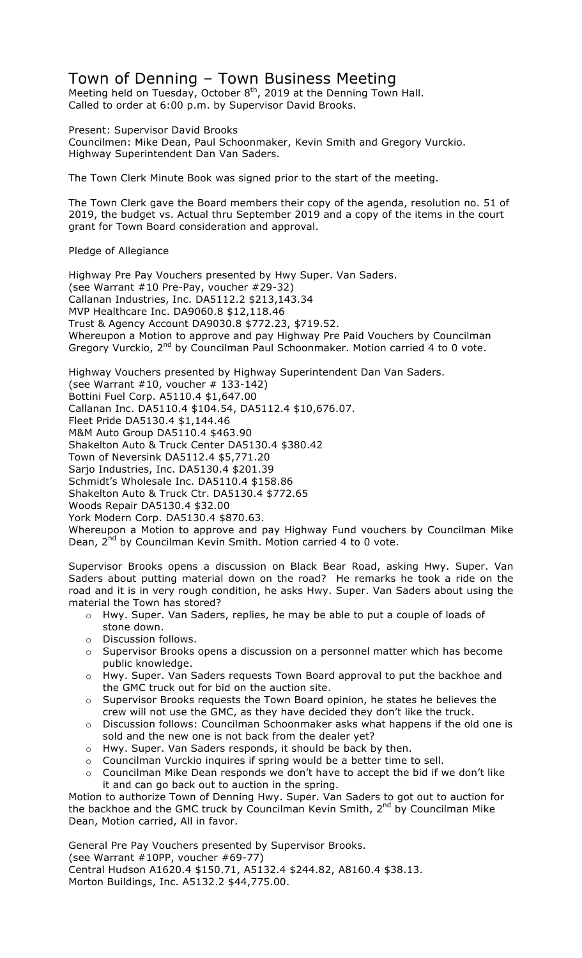## Town of Denning – Town Business Meeting

Meeting held on Tuesday, October  $8^{th}$ , 2019 at the Denning Town Hall. Called to order at 6:00 p.m. by Supervisor David Brooks.

Present: Supervisor David Brooks

Councilmen: Mike Dean, Paul Schoonmaker, Kevin Smith and Gregory Vurckio. Highway Superintendent Dan Van Saders.

The Town Clerk Minute Book was signed prior to the start of the meeting.

The Town Clerk gave the Board members their copy of the agenda, resolution no. 51 of 2019, the budget vs. Actual thru September 2019 and a copy of the items in the court grant for Town Board consideration and approval.

Pledge of Allegiance

Highway Pre Pay Vouchers presented by Hwy Super. Van Saders. (see Warrant #10 Pre-Pay, voucher #29-32) Callanan Industries, Inc. DA5112.2 \$213,143.34 MVP Healthcare Inc. DA9060.8 \$12,118.46 Trust & Agency Account DA9030.8 \$772.23, \$719.52. Whereupon a Motion to approve and pay Highway Pre Paid Vouchers by Councilman Gregory Vurckio, 2<sup>nd</sup> by Councilman Paul Schoonmaker. Motion carried 4 to 0 vote.

Highway Vouchers presented by Highway Superintendent Dan Van Saders.

(see Warrant  $#10$ , voucher  $# 133-142$ )

Bottini Fuel Corp. A5110.4 \$1,647.00

Callanan Inc. DA5110.4 \$104.54, DA5112.4 \$10,676.07.

Fleet Pride DA5130.4 \$1,144.46

M&M Auto Group DA5110.4 \$463.90

Shakelton Auto & Truck Center DA5130.4 \$380.42

Town of Neversink DA5112.4 \$5,771.20

Sarjo Industries, Inc. DA5130.4 \$201.39

Schmidt's Wholesale Inc. DA5110.4 \$158.86

Shakelton Auto & Truck Ctr. DA5130.4 \$772.65

Woods Repair DA5130.4 \$32.00

York Modern Corp. DA5130.4 \$870.63.

Whereupon a Motion to approve and pay Highway Fund vouchers by Councilman Mike Dean, 2<sup>nd</sup> by Councilman Kevin Smith. Motion carried 4 to 0 vote.

Supervisor Brooks opens a discussion on Black Bear Road, asking Hwy. Super. Van Saders about putting material down on the road? He remarks he took a ride on the road and it is in very rough condition, he asks Hwy. Super. Van Saders about using the material the Town has stored?

- o Hwy. Super. Van Saders, replies, he may be able to put a couple of loads of stone down.
- o Discussion follows.
- o Supervisor Brooks opens a discussion on a personnel matter which has become public knowledge.
- o Hwy. Super. Van Saders requests Town Board approval to put the backhoe and the GMC truck out for bid on the auction site.
- o Supervisor Brooks requests the Town Board opinion, he states he believes the crew will not use the GMC, as they have decided they don't like the truck.
- $\circ$  Discussion follows: Councilman Schoonmaker asks what happens if the old one is sold and the new one is not back from the dealer yet?
- o Hwy. Super. Van Saders responds, it should be back by then.
- o Councilman Vurckio inquires if spring would be a better time to sell.
- $\circ$  Councilman Mike Dean responds we don't have to accept the bid if we don't like it and can go back out to auction in the spring.

Motion to authorize Town of Denning Hwy. Super. Van Saders to got out to auction for the backhoe and the GMC truck by Councilman Kevin Smith,  $2^{nd}$  by Councilman Mike Dean, Motion carried, All in favor.

General Pre Pay Vouchers presented by Supervisor Brooks.

(see Warrant #10PP, voucher #69-77)

Central Hudson A1620.4 \$150.71, A5132.4 \$244.82, A8160.4 \$38.13. Morton Buildings, Inc. A5132.2 \$44,775.00.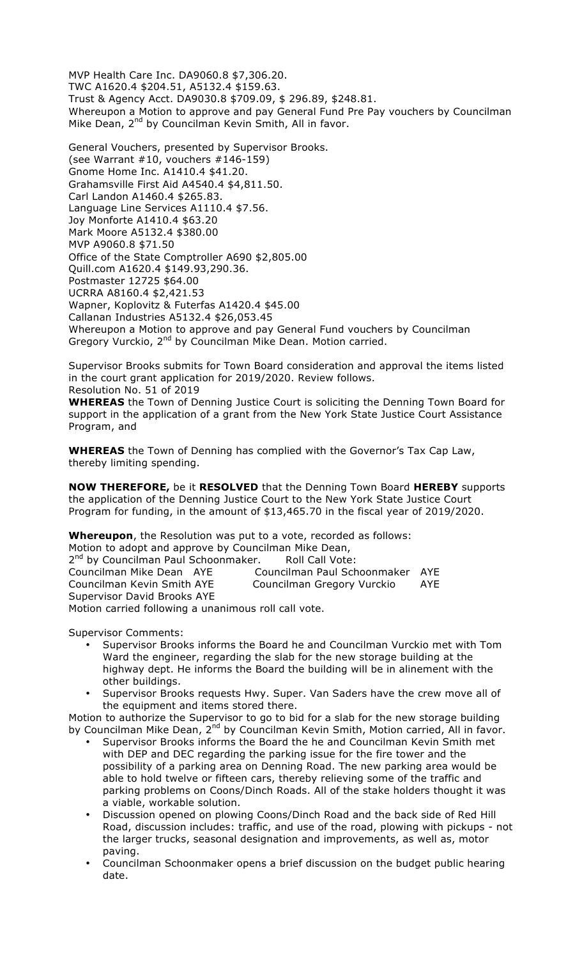MVP Health Care Inc. DA9060.8 \$7,306.20. TWC A1620.4 \$204.51, A5132.4 \$159.63. Trust & Agency Acct. DA9030.8 \$709.09, \$ 296.89, \$248.81. Whereupon a Motion to approve and pay General Fund Pre Pay vouchers by Councilman Mike Dean, 2<sup>nd</sup> by Councilman Kevin Smith, All in favor.

General Vouchers, presented by Supervisor Brooks. (see Warrant #10, vouchers #146-159) Gnome Home Inc. A1410.4 \$41.20. Grahamsville First Aid A4540.4 \$4,811.50. Carl Landon A1460.4 \$265.83. Language Line Services A1110.4 \$7.56. Joy Monforte A1410.4 \$63.20 Mark Moore A5132.4 \$380.00 MVP A9060.8 \$71.50 Office of the State Comptroller A690 \$2,805.00 Quill.com A1620.4 \$149.93,290.36. Postmaster 12725 \$64.00 UCRRA A8160.4 \$2,421.53 Wapner, Koplovitz & Futerfas A1420.4 \$45.00 Callanan Industries A5132.4 \$26,053.45 Whereupon a Motion to approve and pay General Fund vouchers by Councilman Gregory Vurckio, 2<sup>nd</sup> by Councilman Mike Dean. Motion carried.

Supervisor Brooks submits for Town Board consideration and approval the items listed in the court grant application for 2019/2020. Review follows. Resolution No. 51 of 2019

**WHEREAS** the Town of Denning Justice Court is soliciting the Denning Town Board for support in the application of a grant from the New York State Justice Court Assistance Program, and

**WHEREAS** the Town of Denning has complied with the Governor's Tax Cap Law, thereby limiting spending.

**NOW THEREFORE,** be it **RESOLVED** that the Denning Town Board **HEREBY** supports the application of the Denning Justice Court to the New York State Justice Court Program for funding, in the amount of \$13,465.70 in the fiscal year of 2019/2020.

**Whereupon**, the Resolution was put to a vote, recorded as follows: Motion to adopt and approve by Councilman Mike Dean,

2<sup>nd</sup> by Councilman Paul Schoonmaker. Roll Call Vote: Councilman Mike Dean AYE Councilman Paul Schoonmaker AYE Councilman Kevin Smith AYE Councilman Gregory Vurckio AYE Supervisor David Brooks AYE Motion carried following a unanimous roll call vote.

Supervisor Comments:

- Supervisor Brooks informs the Board he and Councilman Vurckio met with Tom Ward the engineer, regarding the slab for the new storage building at the highway dept. He informs the Board the building will be in alinement with the other buildings.
- Supervisor Brooks requests Hwy. Super. Van Saders have the crew move all of the equipment and items stored there.

Motion to authorize the Supervisor to go to bid for a slab for the new storage building by Councilman Mike Dean, 2<sup>nd</sup> by Councilman Kevin Smith, Motion carried, All in favor.

- Supervisor Brooks informs the Board the he and Councilman Kevin Smith met with DEP and DEC regarding the parking issue for the fire tower and the possibility of a parking area on Denning Road. The new parking area would be able to hold twelve or fifteen cars, thereby relieving some of the traffic and parking problems on Coons/Dinch Roads. All of the stake holders thought it was a viable, workable solution.
- Discussion opened on plowing Coons/Dinch Road and the back side of Red Hill Road, discussion includes: traffic, and use of the road, plowing with pickups - not the larger trucks, seasonal designation and improvements, as well as, motor paving.
- Councilman Schoonmaker opens a brief discussion on the budget public hearing date.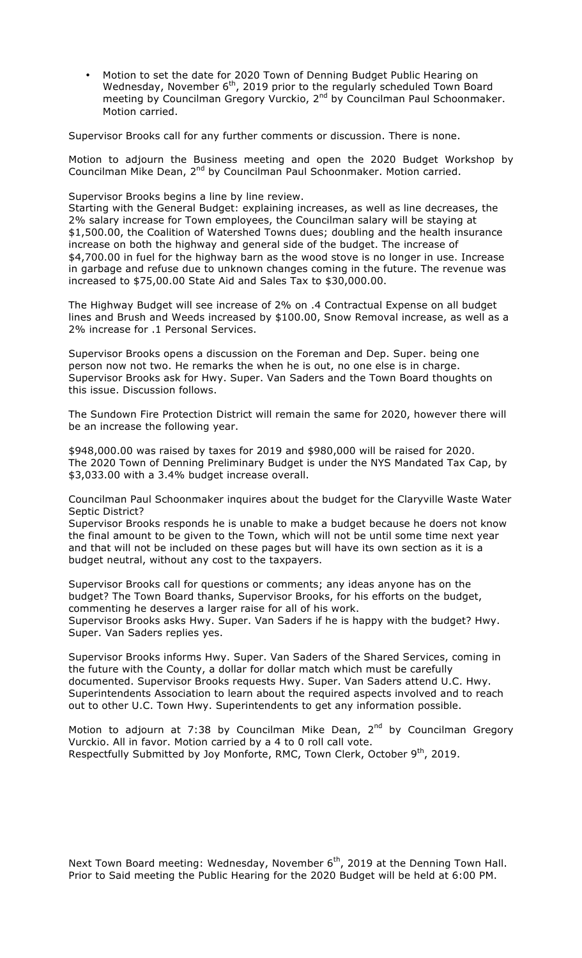• Motion to set the date for 2020 Town of Denning Budget Public Hearing on Wednesday, November 6<sup>th</sup>, 2019 prior to the regularly scheduled Town Board meeting by Councilman Gregory Vurckio, 2<sup>nd</sup> by Councilman Paul Schoonmaker. Motion carried.

Supervisor Brooks call for any further comments or discussion. There is none.

Motion to adjourn the Business meeting and open the 2020 Budget Workshop by Councilman Mike Dean, 2<sup>nd</sup> by Councilman Paul Schoonmaker. Motion carried.

Supervisor Brooks begins a line by line review.

Starting with the General Budget: explaining increases, as well as line decreases, the 2% salary increase for Town employees, the Councilman salary will be staying at \$1,500.00, the Coalition of Watershed Towns dues; doubling and the health insurance increase on both the highway and general side of the budget. The increase of \$4,700.00 in fuel for the highway barn as the wood stove is no longer in use. Increase in garbage and refuse due to unknown changes coming in the future. The revenue was increased to \$75,00.00 State Aid and Sales Tax to \$30,000.00.

The Highway Budget will see increase of 2% on .4 Contractual Expense on all budget lines and Brush and Weeds increased by \$100.00, Snow Removal increase, as well as a 2% increase for .1 Personal Services.

Supervisor Brooks opens a discussion on the Foreman and Dep. Super. being one person now not two. He remarks the when he is out, no one else is in charge. Supervisor Brooks ask for Hwy. Super. Van Saders and the Town Board thoughts on this issue. Discussion follows.

The Sundown Fire Protection District will remain the same for 2020, however there will be an increase the following year.

\$948,000.00 was raised by taxes for 2019 and \$980,000 will be raised for 2020. The 2020 Town of Denning Preliminary Budget is under the NYS Mandated Tax Cap, by \$3,033.00 with a 3.4% budget increase overall.

Councilman Paul Schoonmaker inquires about the budget for the Claryville Waste Water Septic District?

Supervisor Brooks responds he is unable to make a budget because he doers not know the final amount to be given to the Town, which will not be until some time next year and that will not be included on these pages but will have its own section as it is a budget neutral, without any cost to the taxpayers.

Supervisor Brooks call for questions or comments; any ideas anyone has on the budget? The Town Board thanks, Supervisor Brooks, for his efforts on the budget, commenting he deserves a larger raise for all of his work.

Supervisor Brooks asks Hwy. Super. Van Saders if he is happy with the budget? Hwy. Super. Van Saders replies yes.

Supervisor Brooks informs Hwy. Super. Van Saders of the Shared Services, coming in the future with the County, a dollar for dollar match which must be carefully documented. Supervisor Brooks requests Hwy. Super. Van Saders attend U.C. Hwy. Superintendents Association to learn about the required aspects involved and to reach out to other U.C. Town Hwy. Superintendents to get any information possible.

Motion to adjourn at 7:38 by Councilman Mike Dean, 2<sup>nd</sup> by Councilman Gregory Vurckio. All in favor. Motion carried by a 4 to 0 roll call vote. Respectfully Submitted by Joy Monforte, RMC, Town Clerk, October 9<sup>th</sup>, 2019.

Next Town Board meeting: Wednesday, November 6<sup>th</sup>, 2019 at the Denning Town Hall. Prior to Said meeting the Public Hearing for the 2020 Budget will be held at 6:00 PM.